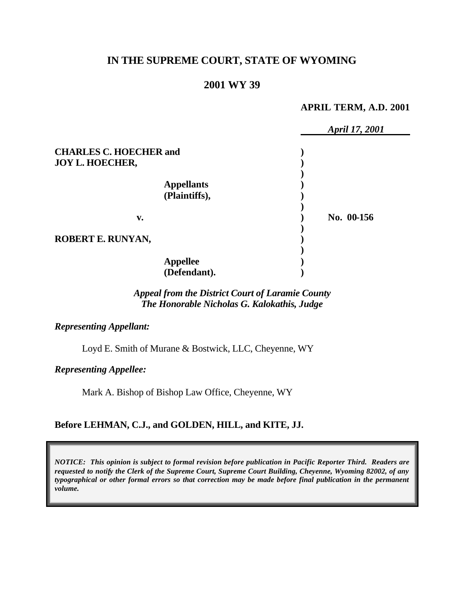# **IN THE SUPREME COURT, STATE OF WYOMING**

## **2001 WY 39**

#### **APRIL TERM, A.D. 2001**

|                               |                   | April 17, 2001 |
|-------------------------------|-------------------|----------------|
| <b>CHARLES C. HOECHER and</b> |                   |                |
| <b>JOY L. HOECHER,</b>        |                   |                |
|                               |                   |                |
|                               | <b>Appellants</b> |                |
|                               | (Plaintiffs),     |                |
|                               |                   |                |
| v.                            |                   | No. 00-156     |
|                               |                   |                |
| ROBERT E. RUNYAN,             |                   |                |
|                               |                   |                |
|                               | <b>Appellee</b>   |                |
|                               | (Defendant).      |                |

## *Appeal from the District Court of Laramie County The Honorable Nicholas G. Kalokathis, Judge*

*Representing Appellant:*

Loyd E. Smith of Murane & Bostwick, LLC, Cheyenne, WY

*Representing Appellee:*

Mark A. Bishop of Bishop Law Office, Cheyenne, WY

## **Before LEHMAN, C.J., and GOLDEN, HILL, and KITE, JJ.**

*NOTICE: This opinion is subject to formal revision before publication in Pacific Reporter Third. Readers are requested to notify the Clerk of the Supreme Court, Supreme Court Building, Cheyenne, Wyoming 82002, of any typographical or other formal errors so that correction may be made before final publication in the permanent volume.*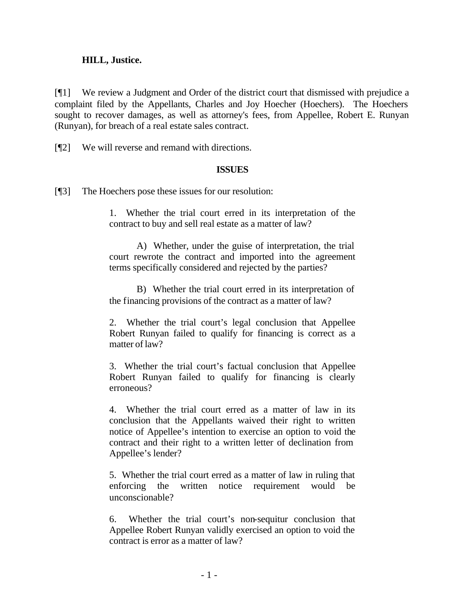### **HILL, Justice.**

[¶1] We review a Judgment and Order of the district court that dismissed with prejudice a complaint filed by the Appellants, Charles and Joy Hoecher (Hoechers). The Hoechers sought to recover damages, as well as attorney's fees, from Appellee, Robert E. Runyan (Runyan), for breach of a real estate sales contract.

[¶2] We will reverse and remand with directions.

### **ISSUES**

[¶3] The Hoechers pose these issues for our resolution:

1. Whether the trial court erred in its interpretation of the contract to buy and sell real estate as a matter of law?

A) Whether, under the guise of interpretation, the trial court rewrote the contract and imported into the agreement terms specifically considered and rejected by the parties?

B) Whether the trial court erred in its interpretation of the financing provisions of the contract as a matter of law?

2. Whether the trial court's legal conclusion that Appellee Robert Runyan failed to qualify for financing is correct as a matter of law?

3. Whether the trial court's factual conclusion that Appellee Robert Runyan failed to qualify for financing is clearly erroneous?

4. Whether the trial court erred as a matter of law in its conclusion that the Appellants waived their right to written notice of Appellee's intention to exercise an option to void the contract and their right to a written letter of declination from Appellee's lender?

5. Whether the trial court erred as a matter of law in ruling that enforcing the written notice requirement would be unconscionable?

6. Whether the trial court's non-sequitur conclusion that Appellee Robert Runyan validly exercised an option to void the contract is error as a matter of law?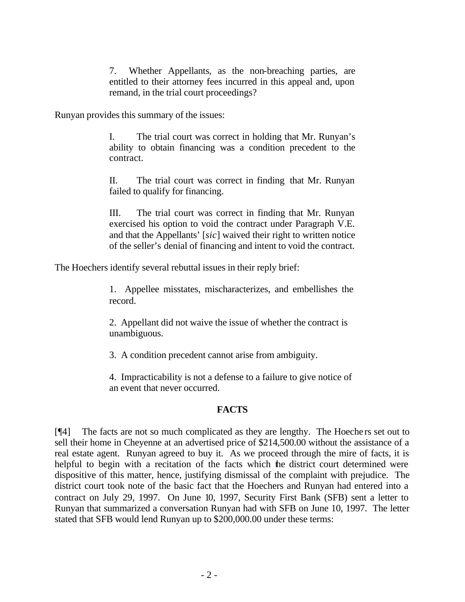7. Whether Appellants, as the non-breaching parties, are entitled to their attorney fees incurred in this appeal and, upon remand, in the trial court proceedings?

Runyan provides this summary of the issues:

I. The trial court was correct in holding that Mr. Runyan's ability to obtain financing was a condition precedent to the contract.

II. The trial court was correct in finding that Mr. Runyan failed to qualify for financing.

III. The trial court was correct in finding that Mr. Runyan exercised his option to void the contract under Paragraph V.E. and that the Appellants' [*sic*] waived their right to written notice of the seller's denial of financing and intent to void the contract.

The Hoechers identify several rebuttal issues in their reply brief:

1. Appellee misstates, mischaracterizes, and embellishes the record.

2. Appellant did not waive the issue of whether the contract is unambiguous.

3. A condition precedent cannot arise from ambiguity.

4. Impracticability is not a defense to a failure to give notice of an event that never occurred.

## **FACTS**

[¶4] The facts are not so much complicated as they are lengthy. The Hoechers set out to sell their home in Cheyenne at an advertised price of \$214,500.00 without the assistance of a real estate agent. Runyan agreed to buy it. As we proceed through the mire of facts, it is helpful to begin with a recitation of the facts which the district court determined were dispositive of this matter, hence, justifying dismissal of the complaint with prejudice. The district court took note of the basic fact that the Hoechers and Runyan had entered into a contract on July 29, 1997. On June 10, 1997, Security First Bank (SFB) sent a letter to Runyan that summarized a conversation Runyan had with SFB on June 10, 1997. The letter stated that SFB would lend Runyan up to \$200,000.00 under these terms: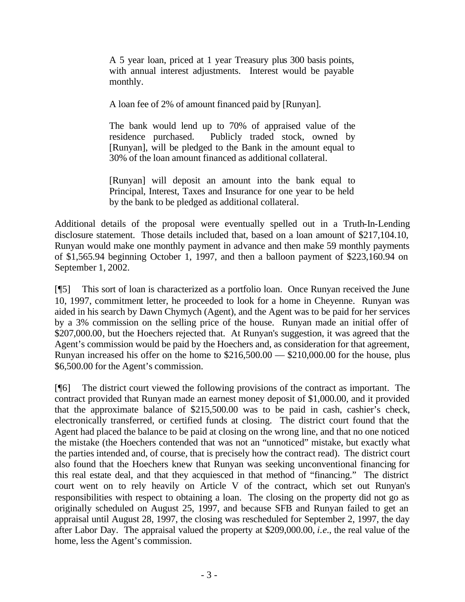A 5 year loan, priced at 1 year Treasury plus 300 basis points, with annual interest adjustments. Interest would be payable monthly.

A loan fee of 2% of amount financed paid by [Runyan].

The bank would lend up to 70% of appraised value of the residence purchased. Publicly traded stock, owned by [Runyan], will be pledged to the Bank in the amount equal to 30% of the loan amount financed as additional collateral.

[Runyan] will deposit an amount into the bank equal to Principal, Interest, Taxes and Insurance for one year to be held by the bank to be pledged as additional collateral.

Additional details of the proposal were eventually spelled out in a Truth-In-Lending disclosure statement. Those details included that, based on a loan amount of \$217,104.10, Runyan would make one monthly payment in advance and then make 59 monthly payments of \$1,565.94 beginning October 1, 1997, and then a balloon payment of \$223,160.94 on September 1, 2002.

[¶5] This sort of loan is characterized as a portfolio loan. Once Runyan received the June 10, 1997, commitment letter, he proceeded to look for a home in Cheyenne. Runyan was aided in his search by Dawn Chymych (Agent), and the Agent was to be paid for her services by a 3% commission on the selling price of the house. Runyan made an initial offer of \$207,000.00, but the Hoechers rejected that. At Runyan's suggestion, it was agreed that the Agent's commission would be paid by the Hoechers and, as consideration for that agreement, Runyan increased his offer on the home to \$216,500.00 — \$210,000.00 for the house, plus \$6,500.00 for the Agent's commission.

[¶6] The district court viewed the following provisions of the contract as important. The contract provided that Runyan made an earnest money deposit of \$1,000.00, and it provided that the approximate balance of \$215,500.00 was to be paid in cash, cashier's check, electronically transferred, or certified funds at closing. The district court found that the Agent had placed the balance to be paid at closing on the wrong line, and that no one noticed the mistake (the Hoechers contended that was not an "unnoticed" mistake, but exactly what the parties intended and, of course, that is precisely how the contract read). The district court also found that the Hoechers knew that Runyan was seeking unconventional financing for this real estate deal, and that they acquiesced in that method of "financing." The district court went on to rely heavily on Article V of the contract, which set out Runyan's responsibilities with respect to obtaining a loan. The closing on the property did not go as originally scheduled on August 25, 1997, and because SFB and Runyan failed to get an appraisal until August 28, 1997, the closing was rescheduled for September 2, 1997, the day after Labor Day. The appraisal valued the property at \$209,000.00, *i.e.*, the real value of the home, less the Agent's commission.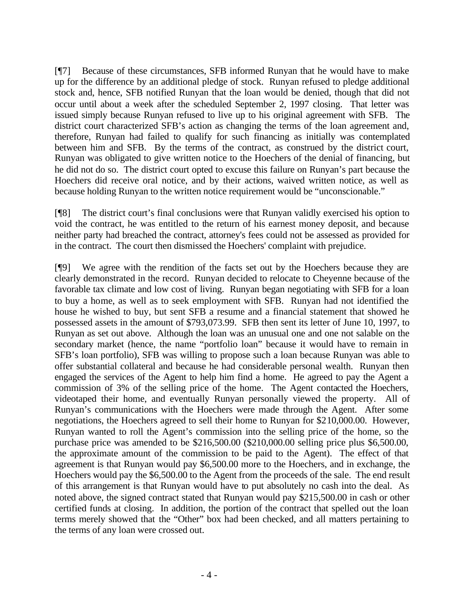[¶7] Because of these circumstances, SFB informed Runyan that he would have to make up for the difference by an additional pledge of stock. Runyan refused to pledge additional stock and, hence, SFB notified Runyan that the loan would be denied, though that did not occur until about a week after the scheduled September 2, 1997 closing. That letter was issued simply because Runyan refused to live up to his original agreement with SFB. The district court characterized SFB's action as changing the terms of the loan agreement and, therefore, Runyan had failed to qualify for such financing as initially was contemplated between him and SFB. By the terms of the contract, as construed by the district court, Runyan was obligated to give written notice to the Hoechers of the denial of financing, but he did not do so. The district court opted to excuse this failure on Runyan's part because the Hoechers did receive oral notice, and by their actions, waived written notice, as well as because holding Runyan to the written notice requirement would be "unconscionable."

[¶8] The district court's final conclusions were that Runyan validly exercised his option to void the contract, he was entitled to the return of his earnest money deposit, and because neither party had breached the contract, attorney's fees could not be assessed as provided for in the contract. The court then dismissed the Hoechers' complaint with prejudice.

[¶9] We agree with the rendition of the facts set out by the Hoechers because they are clearly demonstrated in the record. Runyan decided to relocate to Cheyenne because of the favorable tax climate and low cost of living. Runyan began negotiating with SFB for a loan to buy a home, as well as to seek employment with SFB. Runyan had not identified the house he wished to buy, but sent SFB a resume and a financial statement that showed he possessed assets in the amount of \$793,073.99. SFB then sent its letter of June 10, 1997, to Runyan as set out above. Although the loan was an unusual one and one not salable on the secondary market (hence, the name "portfolio loan" because it would have to remain in SFB's loan portfolio), SFB was willing to propose such a loan because Runyan was able to offer substantial collateral and because he had considerable personal wealth. Runyan then engaged the services of the Agent to help him find a home. He agreed to pay the Agent a commission of 3% of the selling price of the home. The Agent contacted the Hoechers, videotaped their home, and eventually Runyan personally viewed the property. All of Runyan's communications with the Hoechers were made through the Agent. After some negotiations, the Hoechers agreed to sell their home to Runyan for \$210,000.00. However, Runyan wanted to roll the Agent's commission into the selling price of the home, so the purchase price was amended to be \$216,500.00 (\$210,000.00 selling price plus \$6,500.00, the approximate amount of the commission to be paid to the Agent). The effect of that agreement is that Runyan would pay \$6,500.00 more to the Hoechers, and in exchange, the Hoechers would pay the \$6,500.00 to the Agent from the proceeds of the sale. The end result of this arrangement is that Runyan would have to put absolutely no cash into the deal. As noted above, the signed contract stated that Runyan would pay \$215,500.00 in cash or other certified funds at closing. In addition, the portion of the contract that spelled out the loan terms merely showed that the "Other" box had been checked, and all matters pertaining to the terms of any loan were crossed out.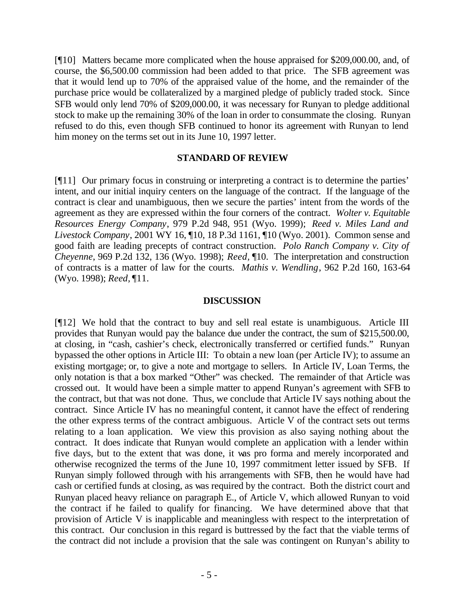[¶10] Matters became more complicated when the house appraised for \$209,000.00, and, of course, the \$6,500.00 commission had been added to that price. The SFB agreement was that it would lend up to 70% of the appraised value of the home, and the remainder of the purchase price would be collateralized by a margined pledge of publicly traded stock. Since SFB would only lend 70% of \$209,000.00, it was necessary for Runyan to pledge additional stock to make up the remaining 30% of the loan in order to consummate the closing. Runyan refused to do this, even though SFB continued to honor its agreement with Runyan to lend him money on the terms set out in its June 10, 1997 letter.

### **STANDARD OF REVIEW**

[¶11] Our primary focus in construing or interpreting a contract is to determine the parties' intent, and our initial inquiry centers on the language of the contract. If the language of the contract is clear and unambiguous, then we secure the parties' intent from the words of the agreement as they are expressed within the four corners of the contract. *Wolter v. Equitable Resources Energy Company*, 979 P.2d 948, 951 (Wyo. 1999); *Reed v. Miles Land and Livestock Company*, 2001 WY 16, ¶10, 18 P.3d 1161, ¶10 (Wyo. 2001). Common sense and good faith are leading precepts of contract construction. *Polo Ranch Company v. City of Cheyenne*, 969 P.2d 132, 136 (Wyo. 1998); *Reed,* ¶10. The interpretation and construction of contracts is a matter of law for the courts. *Mathis v. Wendling*, 962 P.2d 160, 163-64 (Wyo. 1998); *Reed,* ¶11.

#### **DISCUSSION**

[¶12] We hold that the contract to buy and sell real estate is unambiguous. Article III provides that Runyan would pay the balance due under the contract, the sum of \$215,500.00, at closing, in "cash, cashier's check, electronically transferred or certified funds." Runyan bypassed the other options in Article III: To obtain a new loan (per Article IV); to assume an existing mortgage; or, to give a note and mortgage to sellers. In Article IV, Loan Terms, the only notation is that a box marked "Other" was checked. The remainder of that Article was crossed out. It would have been a simple matter to append Runyan's agreement with SFB to the contract, but that was not done. Thus, we conclude that Article IV says nothing about the contract. Since Article IV has no meaningful content, it cannot have the effect of rendering the other express terms of the contract ambiguous. Article V of the contract sets out terms relating to a loan application. We view this provision as also saying nothing about the contract. It does indicate that Runyan would complete an application with a lender within five days, but to the extent that was done, it was pro forma and merely incorporated and otherwise recognized the terms of the June 10, 1997 commitment letter issued by SFB. If Runyan simply followed through with his arrangements with SFB, then he would have had cash or certified funds at closing, as was required by the contract. Both the district court and Runyan placed heavy reliance on paragraph E., of Article V, which allowed Runyan to void the contract if he failed to qualify for financing. We have determined above that that provision of Article V is inapplicable and meaningless with respect to the interpretation of this contract. Our conclusion in this regard is buttressed by the fact that the viable terms of the contract did not include a provision that the sale was contingent on Runyan's ability to